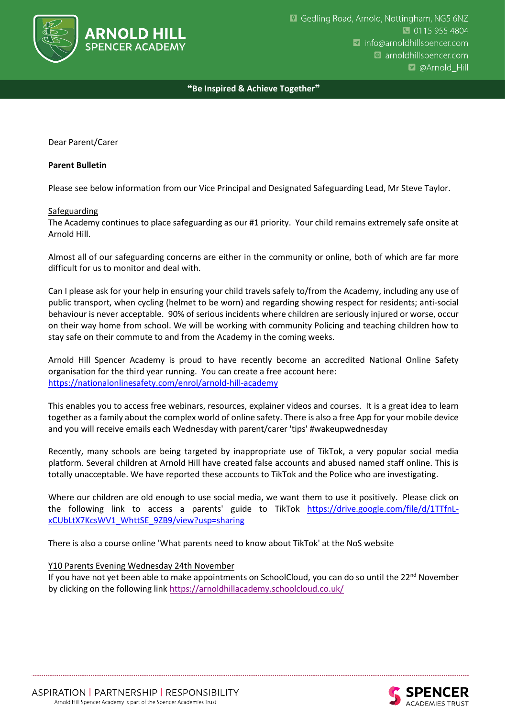

## ❝**Be Inspired & Achieve Together**❞

Dear Parent/Carer

## **Parent Bulletin**

Please see below information from our Vice Principal and Designated Safeguarding Lead, Mr Steve Taylor.

## **Safeguarding**

The Academy continues to place safeguarding as our #1 priority. Your child remains extremely safe onsite at Arnold Hill.

Almost all of our safeguarding concerns are either in the community or online, both of which are far more difficult for us to monitor and deal with.

Can I please ask for your help in ensuring your child travels safely to/from the Academy, including any use of public transport, when cycling (helmet to be worn) and regarding showing respect for residents; anti-social behaviour is never acceptable. 90% of serious incidents where children are seriously injured or worse, occur on their way home from school. We will be working with community Policing and teaching children how to stay safe on their commute to and from the Academy in the coming weeks.

Arnold Hill Spencer Academy is proud to have recently become an accredited National Online Safety organisation for the third year running. You can create a free account here: <https://nationalonlinesafety.com/enrol/arnold-hill-academy>

This enables you to access free webinars, resources, explainer videos and courses. It is a great idea to learn together as a family about the complex world of online safety. There is also a free App for your mobile device and you will receive emails each Wednesday with parent/carer 'tips' #wakeupwednesday

Recently, many schools are being targeted by inappropriate use of TikTok, a very popular social media platform. Several children at Arnold Hill have created false accounts and abused named staff online. This is totally unacceptable. We have reported these accounts to TikTok and the Police who are investigating.

Where our children are old enough to use social media, we want them to use it positively. Please click on the following link to access a parents' guide to TikTok [https://drive.google.com/file/d/1TTfnL](https://drive.google.com/file/d/1TTfnL-xCUbLtX7KcsWV1_WhttSE_9ZB9/view?usp=sharing)[xCUbLtX7KcsWV1\\_WhttSE\\_9ZB9/view?usp=sharing](https://drive.google.com/file/d/1TTfnL-xCUbLtX7KcsWV1_WhttSE_9ZB9/view?usp=sharing)

There is also a course online 'What parents need to know about TikTok' at the NoS website

## Y10 Parents Evening Wednesday 24th November

If you have not yet been able to make appointments on SchoolCloud, you can do so until the  $22<sup>nd</sup>$  November by clicking on the following link<https://arnoldhillacademy.schoolcloud.co.uk/>